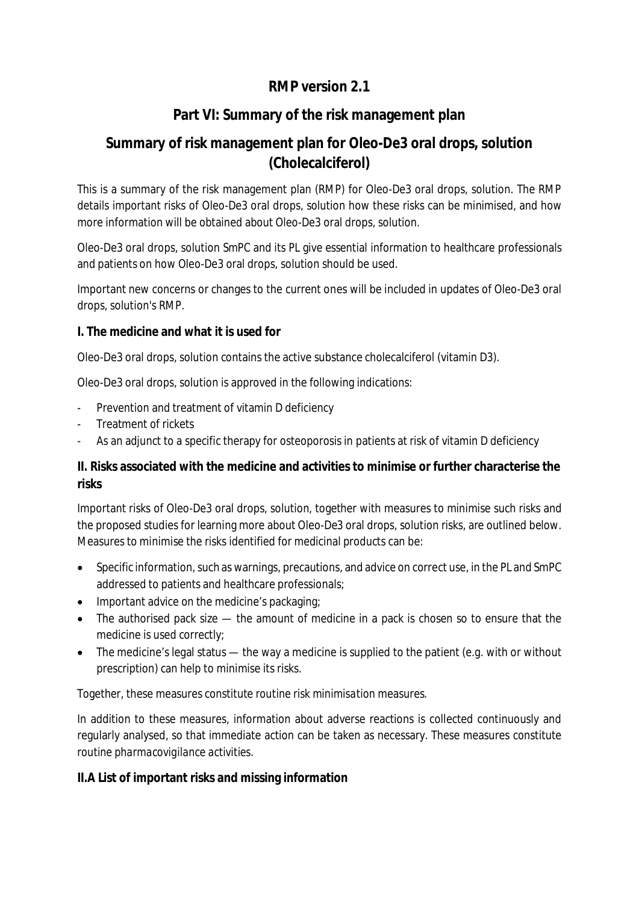# **RMP version 2.1**

# **Part VI: Summary of the risk management plan**

# **Summary of risk management plan for Oleo-De3 oral drops, solution (Cholecalciferol)**

This is a summary of the risk management plan (RMP) for Oleo-De3 oral drops, solution. The RMP details important risks of Oleo-De3 oral drops, solution how these risks can be minimised, and how more information will be obtained about Oleo-De3 oral drops, solution.

Oleo-De3 oral drops, solution SmPC and its PL give essential information to healthcare professionals and patients on how Oleo-De3 oral drops, solution should be used.

Important new concerns or changes to the current ones will be included in updates of Oleo-De3 oral drops, solution's RMP.

**I. The medicine and what it is used for**

Oleo-De3 oral drops, solution contains the active substance cholecalciferol (vitamin D3).

Oleo-De3 oral drops, solution is approved in the following indications:

- Prevention and treatment of vitamin D deficiency
- Treatment of rickets
- As an adjunct to a specific therapy for osteoporosis in patients at risk of vitamin D deficiency

**II. Risks associated with the medicine and activities to minimise or further characterise the risks**

Important risks of Oleo-De3 oral drops, solution, together with measures to minimise such risks and the proposed studies for learning more about Oleo-De3 oral drops, solution risks, are outlined below. Measures to minimise the risks identified for medicinal products can be:

- Specific information, such as warnings, precautions, and advice on correct use, in the PL and SmPC addressed to patients and healthcare professionals;
- Important advice on the medicine's packaging:
- The authorised pack size the amount of medicine in a pack is chosen so to ensure that the medicine is used correctly;
- The medicine's legal status the way a medicine is supplied to the patient (e.g. with or without prescription) can help to minimise its risks.

Together, these measures constitute *routine risk minimisation* measures.

In addition to these measures, information about adverse reactions is collected continuously and regularly analysed, so that immediate action can be taken as necessary. These measures constitute *routine pharmacovigilance activities*.

**II.A List of important risks and missing information**